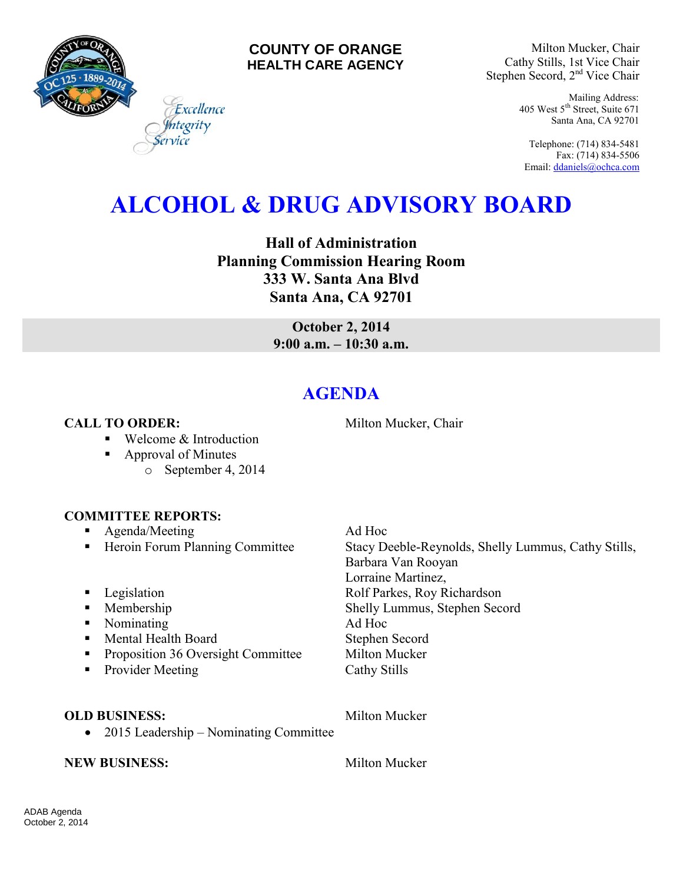

## **COUNTY OF ORANGE HEALTH CARE AGENCY**

Milton Mucker, Chair Cathy Stills, 1st Vice Chair Stephen Secord, 2<sup>nd</sup> Vice Chair

> Mailing Address: 405 West 5th Street, Suite 671 Santa Ana, CA 92701

Telephone: (714) 834-5481 Fax: (714) 834-5506 Email[: ddaniels@ochca.com](mailto:ddaniels@ochca.com)

# **ALCOHOL & DRUG ADVISORY BOARD**

**Hall of Administration Planning Commission Hearing Room 333 W. Santa Ana Blvd Santa Ana, CA 92701** 

> **October 2, 2014 9:00 a.m. – 10:30 a.m.**

## **AGENDA**

**CALL TO ORDER:** Milton Mucker, Chair

- Welcome & Introduction
- Approval of Minutes
	- o September 4, 2014

Excellence egrity

## **COMMITTEE REPORTS:**

- **Agenda/Meeting Ad Hoc**
- 
- 
- 
- Nominating Ad Hoc
- Mental Health Board Stephen Secord
- **•** Proposition 36 Oversight Committee Milton Mucker
- Provider Meeting Cathy Stills

## **OLD BUSINESS:** Milton Mucker

• 2015 Leadership – Nominating Committee

**NEW BUSINESS:** Milton Mucker

■ Heroin Forum Planning Committee Stacy Deeble-Reynolds, Shelly Lummus, Cathy Stills, Barbara Van Rooyan Lorraine Martinez, **Example 3** Legislation **Rolf Parkes, Roy Richardson Membership Shelly Lummus, Stephen Secord**